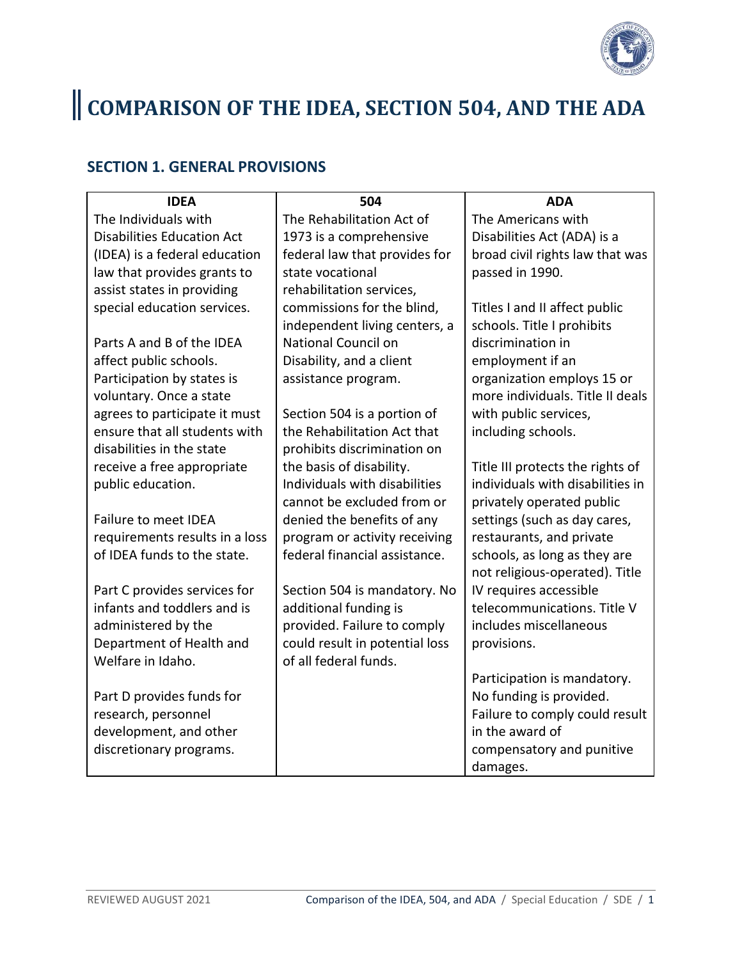

# COMPARISON OF THE IDEA, SECTION 504, AND THE ADA

#### **SECTION 1. GENERAL PROVISIONS**

| <b>IDEA</b>                       | 504                            | <b>ADA</b>                       |
|-----------------------------------|--------------------------------|----------------------------------|
| The Individuals with              | The Rehabilitation Act of      | The Americans with               |
| <b>Disabilities Education Act</b> | 1973 is a comprehensive        | Disabilities Act (ADA) is a      |
| (IDEA) is a federal education     | federal law that provides for  | broad civil rights law that was  |
| law that provides grants to       | state vocational               | passed in 1990.                  |
| assist states in providing        | rehabilitation services,       |                                  |
| special education services.       | commissions for the blind,     | Titles I and II affect public    |
|                                   | independent living centers, a  | schools. Title I prohibits       |
| Parts A and B of the IDEA         | National Council on            | discrimination in                |
| affect public schools.            | Disability, and a client       | employment if an                 |
| Participation by states is        | assistance program.            | organization employs 15 or       |
| voluntary. Once a state           |                                | more individuals. Title II deals |
| agrees to participate it must     | Section 504 is a portion of    | with public services,            |
| ensure that all students with     | the Rehabilitation Act that    | including schools.               |
| disabilities in the state         | prohibits discrimination on    |                                  |
| receive a free appropriate        | the basis of disability.       | Title III protects the rights of |
| public education.                 | Individuals with disabilities  | individuals with disabilities in |
|                                   | cannot be excluded from or     | privately operated public        |
| Failure to meet IDEA              | denied the benefits of any     | settings (such as day cares,     |
| requirements results in a loss    | program or activity receiving  | restaurants, and private         |
| of IDEA funds to the state.       | federal financial assistance.  | schools, as long as they are     |
|                                   |                                | not religious-operated). Title   |
| Part C provides services for      | Section 504 is mandatory. No   | IV requires accessible           |
| infants and toddlers and is       | additional funding is          | telecommunications. Title V      |
| administered by the               | provided. Failure to comply    | includes miscellaneous           |
| Department of Health and          | could result in potential loss | provisions.                      |
| Welfare in Idaho.                 | of all federal funds.          |                                  |
|                                   |                                | Participation is mandatory.      |
| Part D provides funds for         |                                | No funding is provided.          |
| research, personnel               |                                | Failure to comply could result   |
| development, and other            |                                | in the award of                  |
| discretionary programs.           |                                | compensatory and punitive        |
|                                   |                                | damages.                         |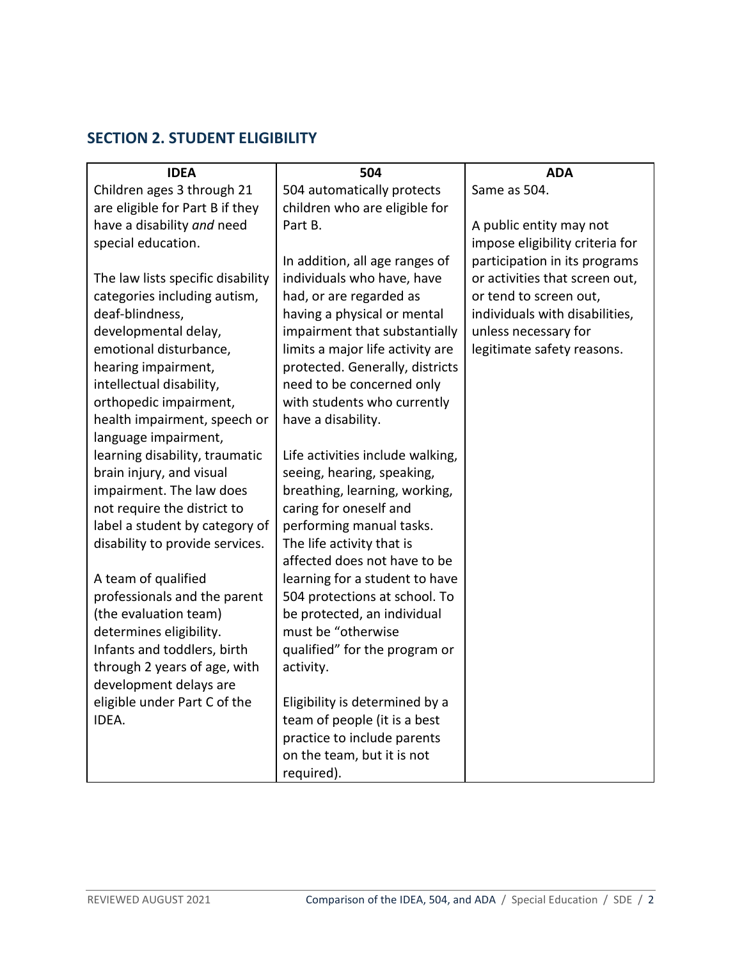# **SECTION 2. STUDENT ELIGIBILITY**

| <b>IDEA</b>                           | 504                              | <b>ADA</b>                      |
|---------------------------------------|----------------------------------|---------------------------------|
| Children ages 3 through 21            | 504 automatically protects       | Same as 504.                    |
| are eligible for Part B if they       | children who are eligible for    |                                 |
| have a disability and need            | Part B.                          | A public entity may not         |
| special education.                    |                                  | impose eligibility criteria for |
|                                       | In addition, all age ranges of   | participation in its programs   |
| The law lists specific disability     | individuals who have, have       | or activities that screen out,  |
| categories including autism,          | had, or are regarded as          | or tend to screen out,          |
| deaf-blindness,                       | having a physical or mental      | individuals with disabilities,  |
| developmental delay,                  | impairment that substantially    | unless necessary for            |
| emotional disturbance,                | limits a major life activity are | legitimate safety reasons.      |
| hearing impairment,                   | protected. Generally, districts  |                                 |
| intellectual disability,              | need to be concerned only        |                                 |
| orthopedic impairment,                | with students who currently      |                                 |
| health impairment, speech or          | have a disability.               |                                 |
| language impairment,                  |                                  |                                 |
| learning disability, traumatic        | Life activities include walking, |                                 |
| brain injury, and visual              | seeing, hearing, speaking,       |                                 |
| impairment. The law does              | breathing, learning, working,    |                                 |
| not require the district to           | caring for oneself and           |                                 |
| label a student by category of        | performing manual tasks.         |                                 |
| disability to provide services.       | The life activity that is        |                                 |
|                                       | affected does not have to be     |                                 |
| A team of qualified                   | learning for a student to have   |                                 |
| professionals and the parent          | 504 protections at school. To    |                                 |
| (the evaluation team)                 | be protected, an individual      |                                 |
| determines eligibility.               | must be "otherwise               |                                 |
| Infants and toddlers, birth           | qualified" for the program or    |                                 |
| through 2 years of age, with          | activity.                        |                                 |
| development delays are                |                                  |                                 |
| eligible under Part C of the<br>IDEA. | Eligibility is determined by a   |                                 |
|                                       | team of people (it is a best     |                                 |
|                                       | practice to include parents      |                                 |
|                                       | on the team, but it is not       |                                 |
|                                       | required).                       |                                 |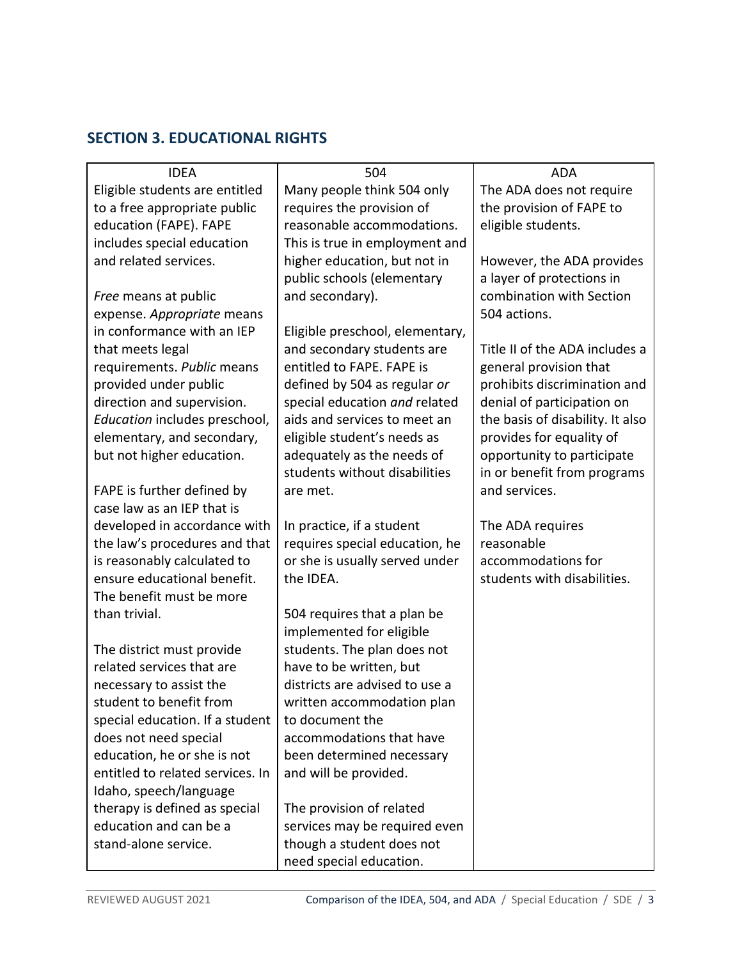# **SECTION 3. EDUCATIONAL RIGHTS**

| <b>IDEA</b>                      | 504                             | <b>ADA</b>                       |
|----------------------------------|---------------------------------|----------------------------------|
| Eligible students are entitled   | Many people think 504 only      | The ADA does not require         |
| to a free appropriate public     | requires the provision of       | the provision of FAPE to         |
| education (FAPE). FAPE           | reasonable accommodations.      | eligible students.               |
| includes special education       | This is true in employment and  |                                  |
| and related services.            | higher education, but not in    | However, the ADA provides        |
|                                  | public schools (elementary      | a layer of protections in        |
| Free means at public             | and secondary).                 | combination with Section         |
| expense. Appropriate means       |                                 | 504 actions.                     |
| in conformance with an IEP       | Eligible preschool, elementary, |                                  |
| that meets legal                 | and secondary students are      | Title II of the ADA includes a   |
| requirements. Public means       | entitled to FAPE. FAPE is       | general provision that           |
| provided under public            | defined by 504 as regular or    | prohibits discrimination and     |
| direction and supervision.       | special education and related   | denial of participation on       |
| Education includes preschool,    | aids and services to meet an    | the basis of disability. It also |
| elementary, and secondary,       | eligible student's needs as     | provides for equality of         |
| but not higher education.        | adequately as the needs of      | opportunity to participate       |
|                                  | students without disabilities   | in or benefit from programs      |
| FAPE is further defined by       | are met.                        | and services.                    |
| case law as an IEP that is       |                                 |                                  |
| developed in accordance with     | In practice, if a student       | The ADA requires                 |
| the law's procedures and that    | requires special education, he  | reasonable                       |
| is reasonably calculated to      | or she is usually served under  | accommodations for               |
| ensure educational benefit.      | the IDEA.                       | students with disabilities.      |
| The benefit must be more         |                                 |                                  |
| than trivial.                    | 504 requires that a plan be     |                                  |
|                                  | implemented for eligible        |                                  |
| The district must provide        | students. The plan does not     |                                  |
| related services that are        | have to be written, but         |                                  |
| necessary to assist the          | districts are advised to use a  |                                  |
| student to benefit from          | written accommodation plan      |                                  |
| special education. If a student  | to document the                 |                                  |
| does not need special            | accommodations that have        |                                  |
| education, he or she is not      | been determined necessary       |                                  |
| entitled to related services. In | and will be provided.           |                                  |
| Idaho, speech/language           |                                 |                                  |
| therapy is defined as special    | The provision of related        |                                  |
| education and can be a           | services may be required even   |                                  |
| stand-alone service.             | though a student does not       |                                  |
|                                  | need special education.         |                                  |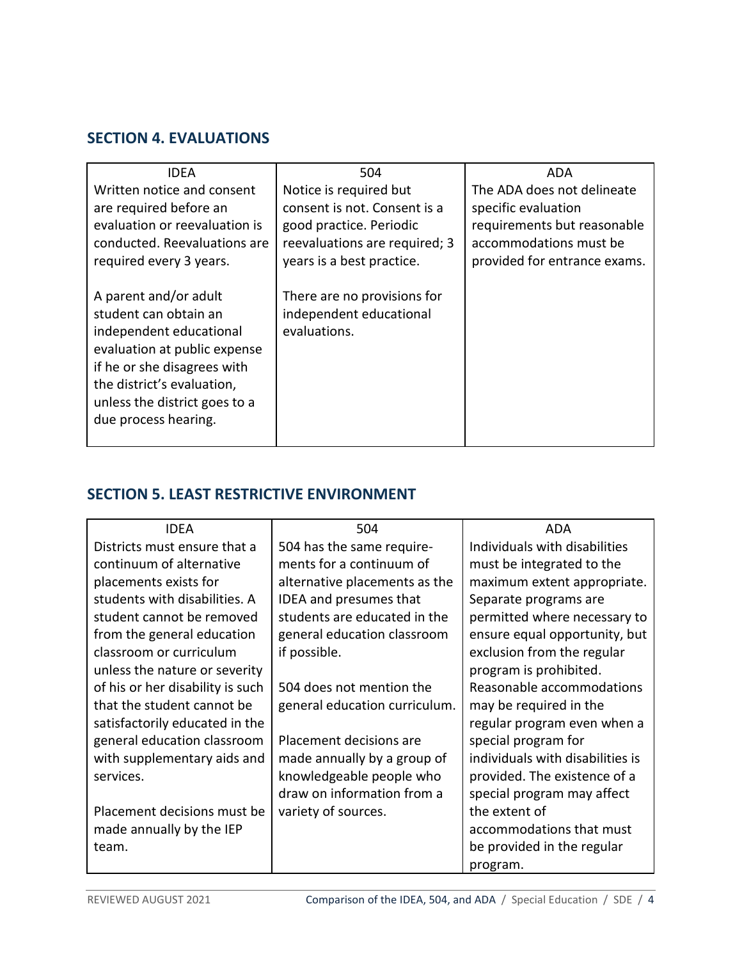#### **SECTION 4. EVALUATIONS**

| <b>IDEA</b>                   | 504                           | ADA                          |
|-------------------------------|-------------------------------|------------------------------|
| Written notice and consent    | Notice is required but        | The ADA does not delineate   |
| are required before an        | consent is not. Consent is a  | specific evaluation          |
| evaluation or reevaluation is | good practice. Periodic       | requirements but reasonable  |
| conducted. Reevaluations are  | reevaluations are required; 3 | accommodations must be       |
| required every 3 years.       | years is a best practice.     | provided for entrance exams. |
|                               |                               |                              |
| A parent and/or adult         | There are no provisions for   |                              |
| student can obtain an         | independent educational       |                              |
| independent educational       | evaluations.                  |                              |
| evaluation at public expense  |                               |                              |
| if he or she disagrees with   |                               |                              |
| the district's evaluation,    |                               |                              |
| unless the district goes to a |                               |                              |
| due process hearing.          |                               |                              |
|                               |                               |                              |

# **SECTION 5. LEAST RESTRICTIVE ENVIRONMENT**

| <b>IDEA</b>                      | 504                           | ADA                              |
|----------------------------------|-------------------------------|----------------------------------|
| Districts must ensure that a     | 504 has the same require-     | Individuals with disabilities    |
| continuum of alternative         | ments for a continuum of      | must be integrated to the        |
| placements exists for            | alternative placements as the | maximum extent appropriate.      |
| students with disabilities. A    | IDEA and presumes that        | Separate programs are            |
| student cannot be removed        | students are educated in the  | permitted where necessary to     |
| from the general education       | general education classroom   | ensure equal opportunity, but    |
| classroom or curriculum          | if possible.                  | exclusion from the regular       |
| unless the nature or severity    |                               | program is prohibited.           |
| of his or her disability is such | 504 does not mention the      | Reasonable accommodations        |
| that the student cannot be       | general education curriculum. | may be required in the           |
| satisfactorily educated in the   |                               | regular program even when a      |
| general education classroom      | Placement decisions are       | special program for              |
| with supplementary aids and      | made annually by a group of   | individuals with disabilities is |
| services.                        | knowledgeable people who      | provided. The existence of a     |
|                                  | draw on information from a    | special program may affect       |
| Placement decisions must be      | variety of sources.           | the extent of                    |
| made annually by the IEP         |                               | accommodations that must         |
| team.                            |                               | be provided in the regular       |
|                                  |                               | program.                         |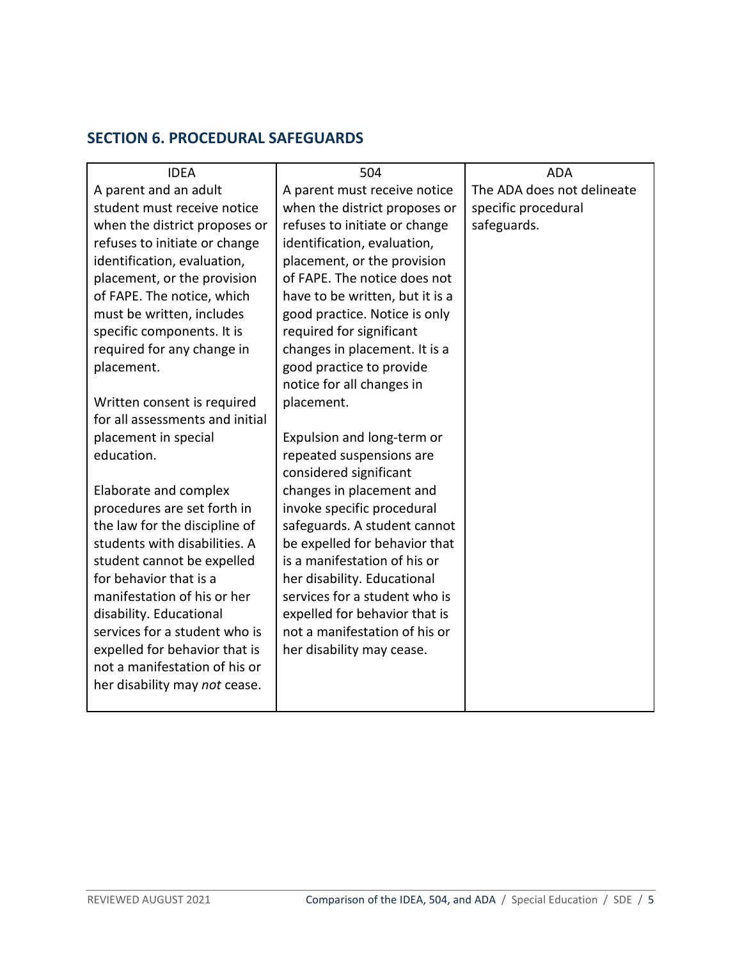## **SECTION 6. PROCEDURAL SAFEGUARDS**

| <b>IDEA</b>                                                    | 504                                                            | <b>ADA</b>                 |
|----------------------------------------------------------------|----------------------------------------------------------------|----------------------------|
| A parent and an adult                                          | A parent must receive notice                                   | The ADA does not delineate |
| student must receive notice                                    | when the district proposes or                                  | specific procedural        |
| when the district proposes or                                  | refuses to initiate or change                                  | safeguards.                |
| refuses to initiate or change                                  | identification, evaluation,                                    |                            |
| identification, evaluation,                                    | placement, or the provision                                    |                            |
| placement, or the provision                                    | of FAPE. The notice does not                                   |                            |
| of FAPE. The notice, which                                     | have to be written, but it is a                                |                            |
| must be written, includes                                      | good practice. Notice is only                                  |                            |
| specific components. It is                                     | required for significant                                       |                            |
| required for any change in                                     | changes in placement. It is a                                  |                            |
| placement.                                                     | good practice to provide                                       |                            |
|                                                                | notice for all changes in                                      |                            |
| Written consent is required                                    | placement.                                                     |                            |
| for all assessments and initial                                |                                                                |                            |
| placement in special                                           | Expulsion and long-term or                                     |                            |
| education.                                                     | repeated suspensions are                                       |                            |
|                                                                | considered significant                                         |                            |
| Elaborate and complex                                          | changes in placement and                                       |                            |
| procedures are set forth in                                    | invoke specific procedural                                     |                            |
| the law for the discipline of                                  | safeguards. A student cannot                                   |                            |
| students with disabilities. A                                  | be expelled for behavior that                                  |                            |
| student cannot be expelled<br>for behavior that is a           | is a manifestation of his or                                   |                            |
| manifestation of his or her                                    | her disability. Educational<br>services for a student who is   |                            |
|                                                                |                                                                |                            |
| disability. Educational                                        | expelled for behavior that is<br>not a manifestation of his or |                            |
| services for a student who is                                  |                                                                |                            |
| expelled for behavior that is<br>not a manifestation of his or | her disability may cease.                                      |                            |
| her disability may not cease.                                  |                                                                |                            |
|                                                                |                                                                |                            |
|                                                                |                                                                |                            |